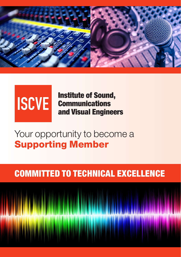

# **ISCVE**

**Institute of Sound, Communications** and Visual Engineers

## Your opportunity to become a Supporting Member

### committed to technical excellence

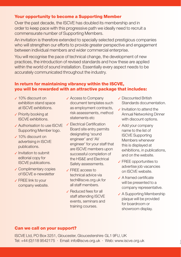#### Your opportunity to become a Supporting Member

Over the past decade, the ISCVE has doubled its membership and in order to keep pace with this progressive path we ideally need to recruit a commensurate number of Supporting Members.

An invitation is therefore extended to specially selected prestigious companies who will strengthen our efforts to provide greater perspective and engagement between individual members and wider commercial enterprise.

You will recognise the pace of technical change, the development of new practices, the introduction of revised standards and how these are applied within the world of sound installation. Essentially every aspect needs to be accurately communicated throughout the industry.

#### In return for maintaining vibrancy within the ISCVE, you will be rewarded with an attractive package that includes:

- ཟ 10% discount on exhibition stand space at ISCVE exhibitions.
- ཟ Priority booking at ISCVE exhibitions.
- ཟ Authorisation to use ISCVE Supporting Member logo.
- ཟ 10% discount on advertising in ISCVE publications.
- ཟ Invitation to submit editorial copy for ISCVE publications.
- **✓ Complimentary copies** of ISCVE e-newsletter
- ཟ FREE link to your company website.
- ✓ Access to Company document templates such as employment contracts, risk assessments, method statements etc
- **∠ Electrical Certification** Board site entry permits designating 'sound engineer' and 'AV engineer' for your staff that are ISCVE members upon successful completion of the HS&E and Electrical Safety assessments.
- ཟ FREE access to technical advice via tech@iscve.org.uk for all staff members.
- ཟ Reduced fees for all staff attending ISCVE events, seminars and training courses.
- ཟ Discounted British Standards documentation.
- $\sqrt{}$  Invitation to attend the Annual Networking Dinner with discount options.
- $\sqrt{\ }$  Add your company name to the list of ISCVE Supporting Members whenever this is displayed at exhibitions, in publications, and on the website.
- $\sqrt{F}$  FREE opportunities to advertise job vacancies on ISCVE website.
- $\angle$  A framed certificate will be presented to a company representative.
- ✔ A Supporting Membership plaque will be provided for boardroom or showroom display.

J

#### Can we call on your support?

ISCVE Ltd, PO Box 3251, Gloucester, Gloucestershire GL1 9FU, UK Tel: +44 (0)118 9542175 · Email: info@iscve.org.uk · Web: www.iscve.org.uk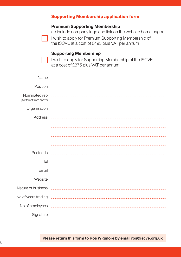|                                            | <b>Supporting Membership application form</b>                                                                                                                                                                 |
|--------------------------------------------|---------------------------------------------------------------------------------------------------------------------------------------------------------------------------------------------------------------|
|                                            | <b>Premium Supporting Membership</b><br>(to include company logo and link on the website home page)<br>I wish to apply for Premium Supporting Membership of<br>the ISCVE at a cost of £495 plus VAT per annum |
|                                            | <b>Supporting Membership</b><br>I wish to apply for Supporting Membership of the ISCVE<br>at a cost of £375 plus VAT per annum                                                                                |
| Name                                       |                                                                                                                                                                                                               |
| Position                                   |                                                                                                                                                                                                               |
| Nominated rep<br>(if different from above) |                                                                                                                                                                                                               |
| Organisation                               |                                                                                                                                                                                                               |
| Address                                    |                                                                                                                                                                                                               |
| Postcode                                   |                                                                                                                                                                                                               |
| Tel                                        |                                                                                                                                                                                                               |
| Email                                      |                                                                                                                                                                                                               |
| Website                                    |                                                                                                                                                                                                               |
| Nature of business                         |                                                                                                                                                                                                               |
| No of years trading                        |                                                                                                                                                                                                               |
| No of employees                            |                                                                                                                                                                                                               |
| Signature                                  |                                                                                                                                                                                                               |

**Please return this form to Ros Wigmore by email ros@iscve.org.uk**

i<br>8